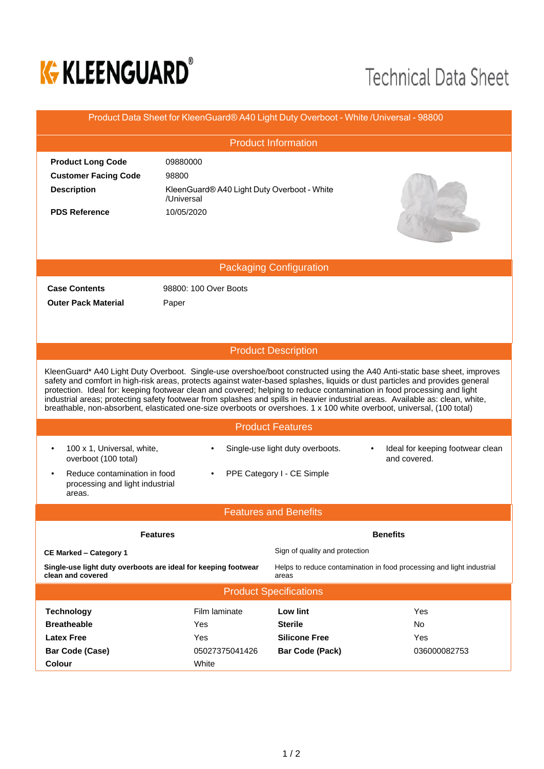

## **Technical Data Sheet**

| Product Data Sheet for KleenGuard® A40 Light Duty Overboot - White /Universal - 98800                                                                                                                                                                                                                                                                                                                                                                                                                                                                                                                                                           |                                                           |                                                                                |                                                  |  |  |  |  |  |
|-------------------------------------------------------------------------------------------------------------------------------------------------------------------------------------------------------------------------------------------------------------------------------------------------------------------------------------------------------------------------------------------------------------------------------------------------------------------------------------------------------------------------------------------------------------------------------------------------------------------------------------------------|-----------------------------------------------------------|--------------------------------------------------------------------------------|--------------------------------------------------|--|--|--|--|--|
| <b>Product Information</b>                                                                                                                                                                                                                                                                                                                                                                                                                                                                                                                                                                                                                      |                                                           |                                                                                |                                                  |  |  |  |  |  |
| <b>Product Long Code</b>                                                                                                                                                                                                                                                                                                                                                                                                                                                                                                                                                                                                                        | 09880000                                                  |                                                                                |                                                  |  |  |  |  |  |
| <b>Customer Facing Code</b>                                                                                                                                                                                                                                                                                                                                                                                                                                                                                                                                                                                                                     | 98800                                                     |                                                                                |                                                  |  |  |  |  |  |
| <b>Description</b>                                                                                                                                                                                                                                                                                                                                                                                                                                                                                                                                                                                                                              | KleenGuard® A40 Light Duty Overboot - White<br>/Universal |                                                                                |                                                  |  |  |  |  |  |
| <b>PDS Reference</b>                                                                                                                                                                                                                                                                                                                                                                                                                                                                                                                                                                                                                            | 10/05/2020                                                |                                                                                |                                                  |  |  |  |  |  |
| <b>Packaging Configuration</b>                                                                                                                                                                                                                                                                                                                                                                                                                                                                                                                                                                                                                  |                                                           |                                                                                |                                                  |  |  |  |  |  |
| <b>Case Contents</b>                                                                                                                                                                                                                                                                                                                                                                                                                                                                                                                                                                                                                            | 98800: 100 Over Boots                                     |                                                                                |                                                  |  |  |  |  |  |
| <b>Outer Pack Material</b>                                                                                                                                                                                                                                                                                                                                                                                                                                                                                                                                                                                                                      | Paper                                                     |                                                                                |                                                  |  |  |  |  |  |
|                                                                                                                                                                                                                                                                                                                                                                                                                                                                                                                                                                                                                                                 |                                                           |                                                                                |                                                  |  |  |  |  |  |
|                                                                                                                                                                                                                                                                                                                                                                                                                                                                                                                                                                                                                                                 |                                                           |                                                                                |                                                  |  |  |  |  |  |
| <b>Product Description</b>                                                                                                                                                                                                                                                                                                                                                                                                                                                                                                                                                                                                                      |                                                           |                                                                                |                                                  |  |  |  |  |  |
| KleenGuard* A40 Light Duty Overboot. Single-use overshoe/boot constructed using the A40 Anti-static base sheet, improves<br>safety and comfort in high-risk areas, protects against water-based splashes, liquids or dust particles and provides general<br>protection. Ideal for: keeping footwear clean and covered; helping to reduce contamination in food processing and light<br>industrial areas; protecting safety footwear from splashes and spills in heavier industrial areas. Available as: clean, white,<br>breathable, non-absorbent, elasticated one-size overboots or overshoes. 1 x 100 white overboot, universal, (100 total) |                                                           |                                                                                |                                                  |  |  |  |  |  |
| <b>Product Features</b>                                                                                                                                                                                                                                                                                                                                                                                                                                                                                                                                                                                                                         |                                                           |                                                                                |                                                  |  |  |  |  |  |
| 100 x 1, Universal, white,<br>$\bullet$<br>overboot (100 total)                                                                                                                                                                                                                                                                                                                                                                                                                                                                                                                                                                                 |                                                           | Single-use light duty overboots.                                               | Ideal for keeping footwear clean<br>and covered. |  |  |  |  |  |
| PPE Category I - CE Simple<br>Reduce contamination in food<br>processing and light industrial<br>areas.                                                                                                                                                                                                                                                                                                                                                                                                                                                                                                                                         |                                                           |                                                                                |                                                  |  |  |  |  |  |
| <b>Features and Benefits</b>                                                                                                                                                                                                                                                                                                                                                                                                                                                                                                                                                                                                                    |                                                           |                                                                                |                                                  |  |  |  |  |  |
|                                                                                                                                                                                                                                                                                                                                                                                                                                                                                                                                                                                                                                                 |                                                           |                                                                                |                                                  |  |  |  |  |  |
|                                                                                                                                                                                                                                                                                                                                                                                                                                                                                                                                                                                                                                                 | <b>Features</b>                                           | <b>Benefits</b>                                                                |                                                  |  |  |  |  |  |
| <b>CE Marked - Category 1</b>                                                                                                                                                                                                                                                                                                                                                                                                                                                                                                                                                                                                                   |                                                           | Sign of quality and protection                                                 |                                                  |  |  |  |  |  |
| Single-use light duty overboots are ideal for keeping footwear<br>clean and covered                                                                                                                                                                                                                                                                                                                                                                                                                                                                                                                                                             |                                                           | Helps to reduce contamination in food processing and light industrial<br>areas |                                                  |  |  |  |  |  |
| <b>Product Specifications</b>                                                                                                                                                                                                                                                                                                                                                                                                                                                                                                                                                                                                                   |                                                           |                                                                                |                                                  |  |  |  |  |  |
| <b>Technology</b>                                                                                                                                                                                                                                                                                                                                                                                                                                                                                                                                                                                                                               | Film laminate                                             | Low lint                                                                       | Yes                                              |  |  |  |  |  |
| <b>Breatheable</b>                                                                                                                                                                                                                                                                                                                                                                                                                                                                                                                                                                                                                              | Yes                                                       | <b>Sterile</b>                                                                 | No.                                              |  |  |  |  |  |
| <b>Latex Free</b>                                                                                                                                                                                                                                                                                                                                                                                                                                                                                                                                                                                                                               | Yes                                                       | <b>Silicone Free</b>                                                           | Yes                                              |  |  |  |  |  |
| <b>Bar Code (Case)</b>                                                                                                                                                                                                                                                                                                                                                                                                                                                                                                                                                                                                                          | 05027375041426                                            | <b>Bar Code (Pack)</b>                                                         | 036000082753                                     |  |  |  |  |  |
| Colour                                                                                                                                                                                                                                                                                                                                                                                                                                                                                                                                                                                                                                          | White                                                     |                                                                                |                                                  |  |  |  |  |  |